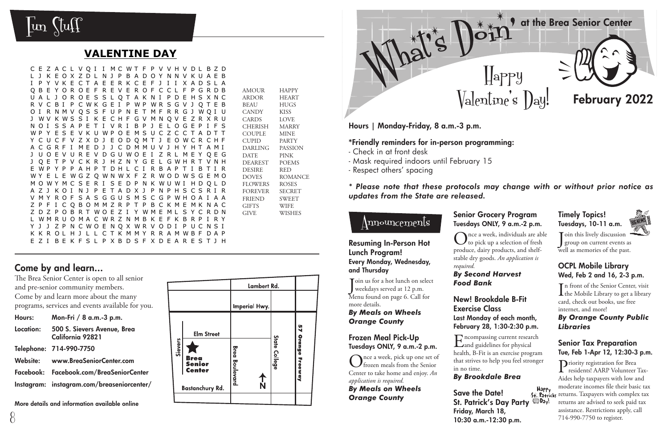at the Brea Senior Center



 $\text{Valentine's }$   $\text{Day!}$  February 2022

Hours | Monday-Friday, 8 a.m.-3 p.m.

#### \*Friendly reminders for in-person programming:

- Check in at front desk
- Mask required indoors until February 15
- Respect others' spacing

*\* Please note that these protocols may change with or without prior notice as updates from the State are released.*

Happy

 $\rm{m}$ oun $\rm{c}$ e $\rm{m}$ en $\rm{ls}$ 

#### Resuming In-Person Hot Lunch Program! Every Monday, Wednesday, and Thursday

J oin us for a hot lunch on select weekdays served at 12 p.m. Menu found on page 6. Call for more details.

#### *By Meals on Wheels Orange County*

#### Frozen Meal Pick-Up Tuesdays ONLY, 9 a.m.-2 p.m.

nce a week, pick up one set of frozen meals from the Senior Center to take home and enjoy. *An application is required.* 

#### *By Meals on Wheels Orange County*

### Senior Grocery Program Tuesdays ONLY, 9 a.m.-2 p.m.

 $\sum_{\text{to pick up a selection of fresh}}^{\text{nce a week, individuals are able}}$ produce, dairy products, and shelfstable dry goods. *An application is required.*

#### *By Second Harvest Food Bank*

#### New! Brookdale B-Fit Exercise Class Last Monday of each month, February 28, 1:30-2:30 p.m.

 $\Gamma$  ncompassing current research and guidelines for physical health, B-Fit is an exercise program that strives to help you feel stronger in no time.

### *By Brookdale Brea*

**Happy** Save the Date! St. Patrick's Day Party <sup>SDD</sup>ay! Friday, March 18, 10:30 a.m.-12:30 p.m.

#### Timely Topics! Tuesdays, 10-11 a.m.



 $\int \begin{bmatrix} \text{sin this likely discussion} \\ \text{group on current events} \end{bmatrix}$ group on current events as well as memories of the past.

#### OCPL Mobile Library Wed, Feb 2 and 16, 2-3 p.m.

In front of the Senior Center, visit<br>the Mobile Library to get a library n front of the Senior Center, visit card, check out books, use free internet, and more!

#### *By Orange County Public Libraries*

#### Senior Tax Preparation Tue, Feb 1-Apr 12, 12:30-3 p.m.

Priority registration for Brea residents! AARP Volunteer Tax-Aides help taxpayers with low and moderate incomes file their basic tax \$4. Patricks returns. Taxpayers with complex tax returns are advised to seek paid tax assistance. Restrictions apply, call 714-990-7750 to register.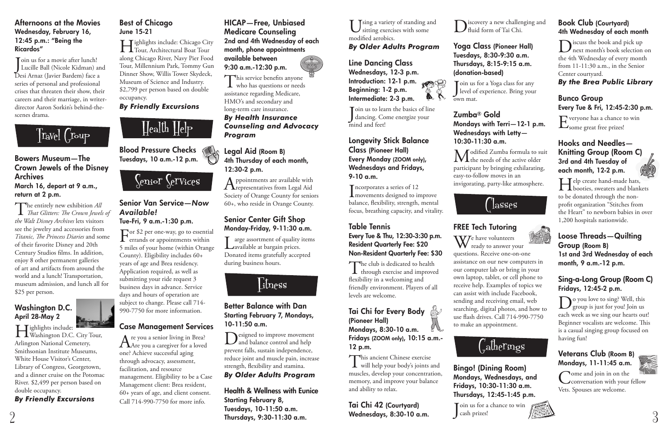**T**sing a variety of standing and sitting exercises with some modified aerobics.

### *By Older Adults Program*

#### Line Dancing Class Wednesdays, 12-3 p.m. Introduction: 12-1 p.m. Beginning: 1-2 p.m.

Join us to learn the basics of lir<br>dancing. Come energize your Toin us to learn the basics of line mind and feet!



 $\prod_{\text{movements}}$  a series of 12<br>movements designed to improve **T** ncorporates a series of 12 balance, flexibility, strength, mental focus, breathing capacity, and vitality.

#### Longevity Stick Balance Class (Pioneer Hall) Every Monday (ZOOM only), Wednesdays and Fridays, 9-10 a.m.

 $\prod$ he club is dedicated to health through exercise and improved flexibility in a welcoming and friendly environment. Players of all levels are welcome.

This ancient Chinese exercise<br>will help your body's joints and muscles, develop your concentration, memory, and improve your balance and ability to relax.

#### Table Tennis Every Tue & Thu, 12:30-3:30 p.m. Resident Quarterly Fee: \$20 Non-Resident Quarterly Fee: \$30

Join us for a Yoga class for any<br>Jevel of experience. Bring your level of experience. Bring your own mat.

**M** odified Zumba formula to suit<br>the needs of the active older participant by bringing exhilarating, easy-to-follow moves in an invigorating, party-like atmosphere.



#### Tai Chi for Every Body (Pioneer Hall) Mondays, 8:30-10 a.m.

Fridays (ZOOM only), 10:15 a.m.- 12 p.m.

We have volunteers<br>ready to answer your questions. Receive one-on-one assistance on our new computers in our computer lab or bring in your own laptop, tablet, or cell phone to receive help. Examples of topics we can assist with include Facebook, sending and receiving email, web searching, digital photos, and how to use flash drives. Call 714-990-7750 to make an appointment.



Join us for a chance to win<br>Cash prizes! cash prizes!

iscovery a new challenging and

# ' lasses



# $\int_{\tau_a}$ atherings



Tai Chi 42 (Courtyard) Wednesdays, 8:30-10 a.m.

# Huid form of Tai Chi.

 $\sum_{\text{next month's book selection on}}$ the 4th Wednesday of every month from 11-11:30 a.m., in the Senior Center courtyard.

Everyone has a chance to win  $\mathbf{L}_{\text{some great free prizes}}$ 

#### Yoga Class (Pioneer Hall) Tuesdays, 8:30-9:30 a.m. Thursdays, 8:15-9:15 a.m. (donation-based)

Help create hand-made hats, to be donated through the nonprofit organization "Stitches from the Heart" to newborn babies in over 1,200 hospitals nationwide.

#### Zumba® Gold Mondays with Terri—12-1 p.m. Wednesdays with Letty— 10:30-11:30 a.m.

**Do you love to sing? Well, this** group is just for you! Join us each week as we sing our hearts out! Beginner vocalists are welcome. This is a casual singing group focused on having fun!

# FREE Tech Tutoring

Come and join in on the Vets. Spouses are welcome.

Join us for a movie after lunch!<br>Lucille Ball (Nicole Kidman) and Toin us for a movie after lunch! Desi Arnaz (Javier Bardem) face a series of personal and professional crises that threaten their show, their careers and their marriage, in writerdirector Aaron Sorkin's behind-thescenes drama.

# $\left[\dot{r}_{a}$ Vel $\left(\begin{matrix} r & r \\ r & r \end{matrix}\right)$

Bingo! (Dining Room) Mondays, Wednesdays, and Fridays, 10:30-11:30 a.m. Thursdays, 12:45-1:45 p.m.

### Book Club (Courtyard) 4th Wednesday of each month

*By the Brea Public Library*

# Bunco Group Every Tue & Fri, 12:45-2:30 p.m.

#### Hooks and Needles— Knitting Group (Room C) 3rd and 4th Tuesday of each month, 12-2 p.m.



 $\Gamma_{\text{errands or appointments within}}$ 5 miles of your home (within Orange County). Eligibility includes 60+ years of age and Brea residency. Application required, as well as submitting your ride request 3 business days in advance. Service days and hours of operation are subject to change. Please call 714- 990-7750 for more information.

Are you a senior living in Brea?<br>Are you a caregiver for a loved one? Achieve successful aging through advocacy, assessment, facilitation, and resource management. Eligibility to be a Case Management client: Brea resident, 60+ years of age, and client consent. Call 714-990-7750 for more info.

#### Loose Threads—Quilting Group (Room B) 1st and 3rd Wednesday of each month, 9 a.m.-12 p.m.

### Sing-a-Long Group (Room C) Fridays, 12:45-2 p.m.

This service benefits anyone **L** who has questions or needs assistance regarding Medicare, HMO's and secondary and long-term care insurance. *By Health Insurance Counseling and Advocacy Program*

Appointments are available with<br>representatives from Legal Aid Society of Orange County for seniors 60+, who reside in Orange County.

## Veterans Club (Room B) Mondays, 11-11:45 a.m.



 $\mathbf{T}$  arge assortment of quality items **L**available at bargain prices. Donated items gratefully accepted during business hours.



Designed to improve movement<br>and balance control and help prevent falls, sustain independence, reduce joint and muscle pain, increase strength, flexibility and stamina.

#### Afternoons at the Movies Wednesday, February 16, 12:45 p.m.: "Being the Ricardos"

# Bowers Museum—The Crown Jewels of the Disney Archives

March 16, depart at 9 a.m., return at 2 p.m.

The entirely new exhibition *All That Glitters: The Crown Jewels of the Walt Disney Archives* lets visitors see the jewelry and accessories from *Titanic, The Princess Diaries* and some of their favorite Disney and 20th Century Studios films. In addition, enjoy 8 other permanent galleries of art and artifacts from around the world and a lunch! Transportation, museum admission, and lunch all for \$25 per person.

### Washington D.C. April 28-May 2



Highlights include: Washington D.C. City Tour, Arlington National Cemetery, Smithsonian Institute Museums, White House Visitor's Center, Library of Congress, Georgetown, and a dinner cruise on the Potomac River. \$2,499 per person based on double occupancy. *By Friendly Excursions*

# Best of Chicago June 15-21

Highlights include: Chicago City Tour, Architectural Boat Tour along Chicago River, Navy Pier Food Tour, Millennium Park, Tommy Gun Dinner Show, Willis Tower Skydeck, Museum of Science and Industry. \$2,799 per person based on double occupancy.

#### *By Friendly Excursions*



Blood Pressure Checks Tuesdays, 10 a.m.-12 p.m.



#### Senior Van Service—*Now Available!* Tue-Fri, 9 a.m.-1:30 p.m.

### Case Management Services

#### HICAP—Free, Unbiased Medicare Counseling 2nd and 4th Wednesday of each month, phone appointments

available between 9:30 a.m.-12:30 p.m.

#### Legal Aid (Room B) 4th Thursday of each month, 12:30-2 p.m.

#### Senior Center Gift Shop Monday-Friday, 9-11:30 a.m.

#### Better Balance with Dan Starting February 7, Mondays, 10-11:50 a.m.

*By Older Adults Program*

Health & Wellness with Eunice Starting February 8, Tuesdays, 10-11:50 a.m. Thursdays, 9:30-11:30 a.m.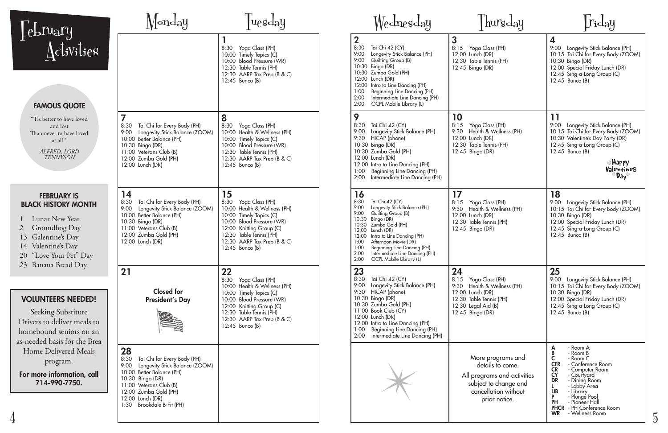| <i><u><b>Lebruary</b></u></i>                                                                                                                                                                                                                              | Monday                                                                                                                                                                                                                                    | <i>uesday</i>                                                                                                                                                                                                                  | Wednesday                                                                                                                                                                                                                                                                                                                                                                | $\vert$ hursday                                                                                                                                     | $\lfloor r_{\mathbf{i}} \mathbf{d}_{\mathbf{a}} \mathbf{y}$                                                                                                                                                                                                                                                                  |
|------------------------------------------------------------------------------------------------------------------------------------------------------------------------------------------------------------------------------------------------------------|-------------------------------------------------------------------------------------------------------------------------------------------------------------------------------------------------------------------------------------------|--------------------------------------------------------------------------------------------------------------------------------------------------------------------------------------------------------------------------------|--------------------------------------------------------------------------------------------------------------------------------------------------------------------------------------------------------------------------------------------------------------------------------------------------------------------------------------------------------------------------|-----------------------------------------------------------------------------------------------------------------------------------------------------|------------------------------------------------------------------------------------------------------------------------------------------------------------------------------------------------------------------------------------------------------------------------------------------------------------------------------|
| Activities<br><b>FAMOUS QUOTE</b>                                                                                                                                                                                                                          |                                                                                                                                                                                                                                           | 8:30 Yoga Class (PH)<br>10:00 Timely Topics (C)<br>10:00 Blood Pressure (WR)<br>12:30 Table Tennis (PH)<br>12:30 AARP Tax Prep (B & C)<br>$12:45$ Bunco (B)                                                                    | $\mathbf 2$<br>8:30<br>Tai Chi 42 (CY)<br>9:00<br>Longevity Stick Balance (PH)<br>9:00<br>Quilting Group (B)<br>10:30 Bingo (DR)<br>10:30 Zumba Gold (PH)<br>12:00 Lunch (DR)<br>12:00 Intro to Line Dancing (PH)<br>1:00<br>Beginning Line Dancing (PH)<br>2:00<br>Intermediate Line Dancing (PH)<br>2:00<br>OCPL Mobile Library (L)                                    | 3<br>8:15 Yoga Class (PH)<br>12:00 Lunch (DR)<br>12:30 Table Tennis (PH)<br>12:45 Bingo (DR)                                                        | 4<br>9:00 Longevity Stick Balance (PH)<br>10:15 Tai Chi for Every Body (ZOOM)<br>10:30 Bingo (DR)<br>12:00 Special Friday Lunch (DR)<br>12:45 Sing-a-Long Group (C)<br>12:45 Bunco (B)                                                                                                                                       |
| "Tis better to have loved<br>and lost<br>Than never to have loved<br>at all."<br>ALFRED, LORD<br><b>TENNYSON</b>                                                                                                                                           | 7<br>Tai Chi for Every Body (PH)<br>8:30<br>9:00<br>Longevity Stick Balance (ZOOM)<br>10:00 Better Balance (PH)<br>10:30 Bingo (DR)<br>11:00 Veterans Club (B)<br>12:00 Zumba Gold (PH)<br>12:00 Lunch (DR)                               | 8<br>8:30<br>Yoga Class (PH)<br>10:00 Health & Wellness (PH)<br>10:00 Timely Topics (C)<br>10:00 Blood Pressure (WR)<br>12:30 Table Tennis (PH)<br>12:30 AARP Tax Prep (B & C)<br>$12:45$ Bunco (B)                            | 9<br>8:30<br>Tai Chi 42 (CY)<br>9:00<br>Longevity Stick Balance (PH)<br>9:30 HICAP (phone)<br>10:30 Bingo (DR)<br>10:30 Zumba Gold (PH)<br>12:00 Lunch (DR)<br>12:00 Intro to Line Dancing (PH)<br>Beginning Line Dancing (PH)<br>1:00<br>2:00<br>Intermediate Line Dancing (PH)                                                                                         | 10<br>8:15 Yoga Class (PH)<br>9:30 Health & Wellness (PH)<br>12:00 Lunch (DR)<br>12:30 Table Tennis (PH)<br>12:45 Bingo (DR)                        | 11<br>9:00 Longevity Stick Balance (PH)<br>10:15 Tai Chi for Every Body (ZOOM)<br>10:30 Valentine's Day Party (DR)<br>12:45 Sing-a-Long Group (C)<br>12:45 Bunco (B)<br>●Happy<br>Valentines<br>$^{\circ}$ Day                                                                                                               |
| <b>FEBRUARY IS</b><br><b>BLACK HISTORY MONTH</b><br>Lunar New Year<br>Groundhog Day<br>13 Galentine's Day<br>14 Valentine's Day<br>20 "Love Your Pet" Day                                                                                                  | 14<br>8:30<br>Tai Chi for Every Body (PH)<br>Longevity Stick Balance (ZOOM)<br>9:00<br>10:00 Better Balance (PH)<br>10:30 Bingo (DR)<br>11:00 Veterans Club (B)<br>12:00 Zumba Gold (PH)<br>12:00 Lunch (DR)                              | 15<br>Yoga Class (PH)<br>8:30<br>10:00 Health & Wellness (PH)<br>10:00 Timely Topics (C)<br>10:00 Blood Pressure (WR)<br>12:00 Knitting Group (C)<br>12:30 Table Tennis (PH)<br>12:30 AARP Tax Prep (B & C)<br>12:45 Bunco (B) | 16<br>Tai Chi 42 (CY)<br>8:30<br>Longevity Stick Balance (PH)<br>9:00<br>9:00<br>Quilting Group (B)<br>10:30<br>Bingo (DR)<br>Zumba Gold (PH)<br>10:30<br>12:00<br>Lunch (DR)<br>Intro to Line Dancing (PH)<br>12:00<br>Afternoon Movie (DR)<br>1:00<br>1:00<br>Beginning Line Dancing (PH)<br>2:00<br>Intermediate Line Dancing (PH)<br>OCPL Mobile Library (L)<br>2:00 | 17<br>8:15 Yoga Class (PH)<br>9:30 Health & Wellness (PH)<br>12:00 Lunch (DR)<br>12:30 Table Tennis (PH)<br>12:45 Bingo (DR)                        | <b>18</b><br>9:00 Longevity Stick Balance (PH)<br>10:15 Tai Chi for Every Body (ZOOM)<br>10:30 Bingo (DR)<br>12:00 Special Friday Lunch (DR)<br>12:45 Sing-a-Long Group (C)<br>12:45 Bunco (B)                                                                                                                               |
| 23 Banana Bread Day<br><b>VOLUNTEERS NEEDED!</b><br><b>Seeking Substitute</b><br>Drivers to deliver meals to<br>homebound seniors on an<br>as-needed basis for the Brea<br>Home Delivered Meals<br>program.<br>For more information, call<br>714-990-7750. | 21<br><b>Closed</b> for<br><b>President's Day</b>                                                                                                                                                                                         | 22<br>8:30 Yoga Class (PH)<br>10:00 Health & Wellness (PH)<br>10:00 Timely Topics (C)<br>10:00 Blood Pressure (WR)<br>12:00 Knitting Group (C)<br>12:30 Table Tennis (PH)<br>12:30 AARP Tax Prep (B & C)<br>12:45 Bunco (B)    | 23<br>8:30<br>Tai Chi 42 (CY)<br>9:00<br>Longevity Stick Balance (PH)<br>9:30 HICAP (phone)<br>10:30 Bingo (DR)<br>10:30 Zumba Gold (PH)<br>11:00 Book Club (CY)<br>12:00 Lunch (DR)<br>12:00 Intro to Line Dancing (PH)<br>Beginning Line Dancing (PH)<br>1:00<br>Intermediate Line Dancing (PH)<br>2:00                                                                | 24<br>8:15 Yoga Class (PH)<br>9:30 Health & Wellness (PH)<br>12:00 Lunch (DR)<br>12:30 Table Tennis (PH)<br>12:30 Legal Aid (B)<br>12:45 Bingo (DR) | 25<br>9:00 Longevity Stick Balance (PH)<br>10:15 Tai Chi for Every Body (ZOOM)<br>10:30 Bingo (DR)<br>12:00 Special Friday Lunch (DR)<br>12:45 Sing-a-Long Group (C)<br>12:45 Bunco (B)                                                                                                                                      |
|                                                                                                                                                                                                                                                            | 28<br>8:30<br>Tai Chi for Every Body (PH)<br>Longevity Stick Balance (ZOOM)<br>9:00<br>10:00 Better Balance (PH)<br>10:30 Bingo (DR)<br>11:00 Veterans Club (B)<br>12:00 Zumba Gold (PH)<br>12:00 Lunch (DR)<br>1:30 Brookdale B-Fit (PH) |                                                                                                                                                                                                                                |                                                                                                                                                                                                                                                                                                                                                                          | More programs and<br>details to come.<br>All programs and activities<br>subject to change and<br>cancellation without<br>prior notice.              | - Room A<br>- Room B<br>- Room C<br>- Conference Room<br><b>CFR</b><br><b>CR</b><br>- Computer Room<br><b>CY</b><br>- Courtyard<br><b>DR</b><br>- Dining Room<br>- Lobby Area<br><b>LIB</b><br>- Library<br>- Plungé Pool<br>- Pioneer Hall<br><b>PH</b><br><b>PHCR</b> - PH Conference Room<br><b>WR</b><br>- Wellness Room |

5